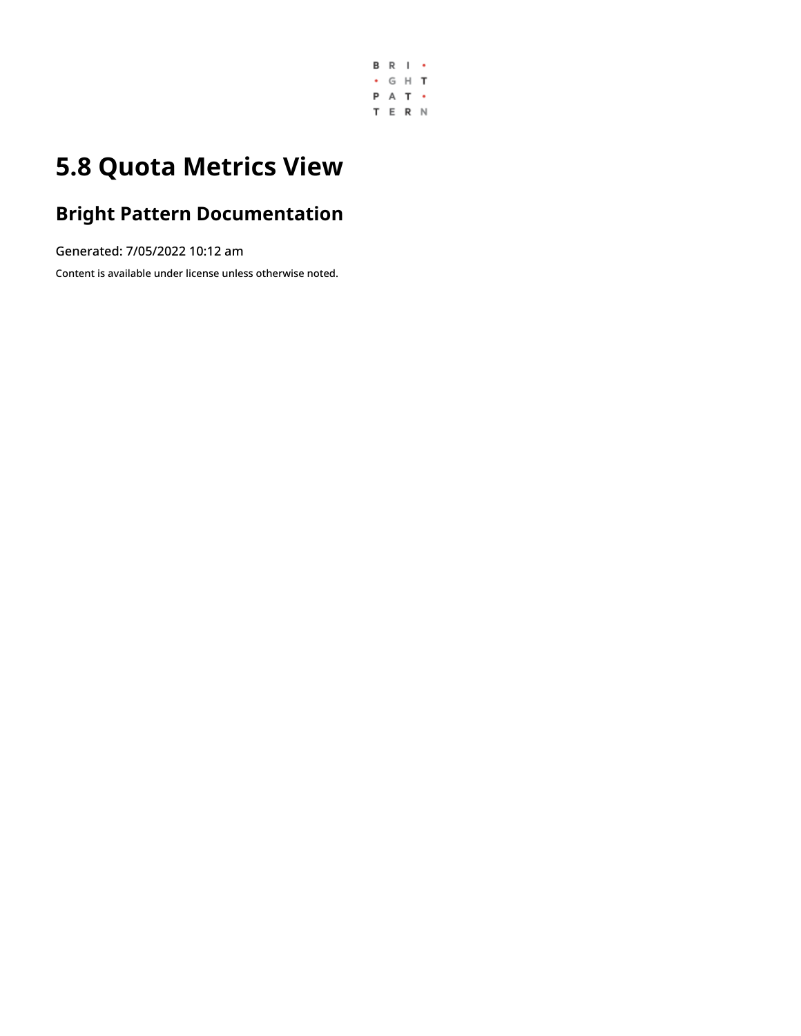

## **5.8 Quota Metrics View**

### **Bright Pattern Documentation**

Generated: 7/05/2022 10:12 am

Content is available under license unless otherwise noted.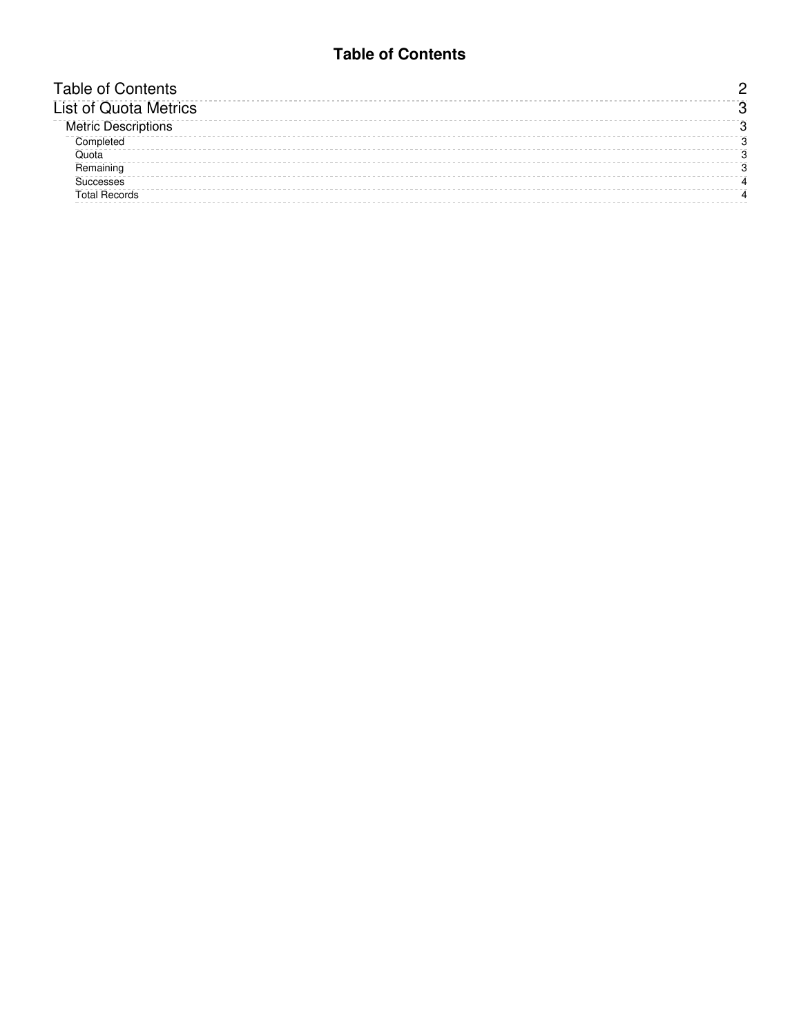#### **Table of Contents**

<span id="page-1-0"></span>

| <b>Fable of Contents</b>     |  |
|------------------------------|--|
| <b>List of Quota Metrics</b> |  |
| <b>Metric Descriptions</b>   |  |
| Completed                    |  |
| <b>Ouota</b>                 |  |
| Remaining                    |  |
| <b>iuccesses</b>             |  |
| <b>Total Records</b>         |  |
|                              |  |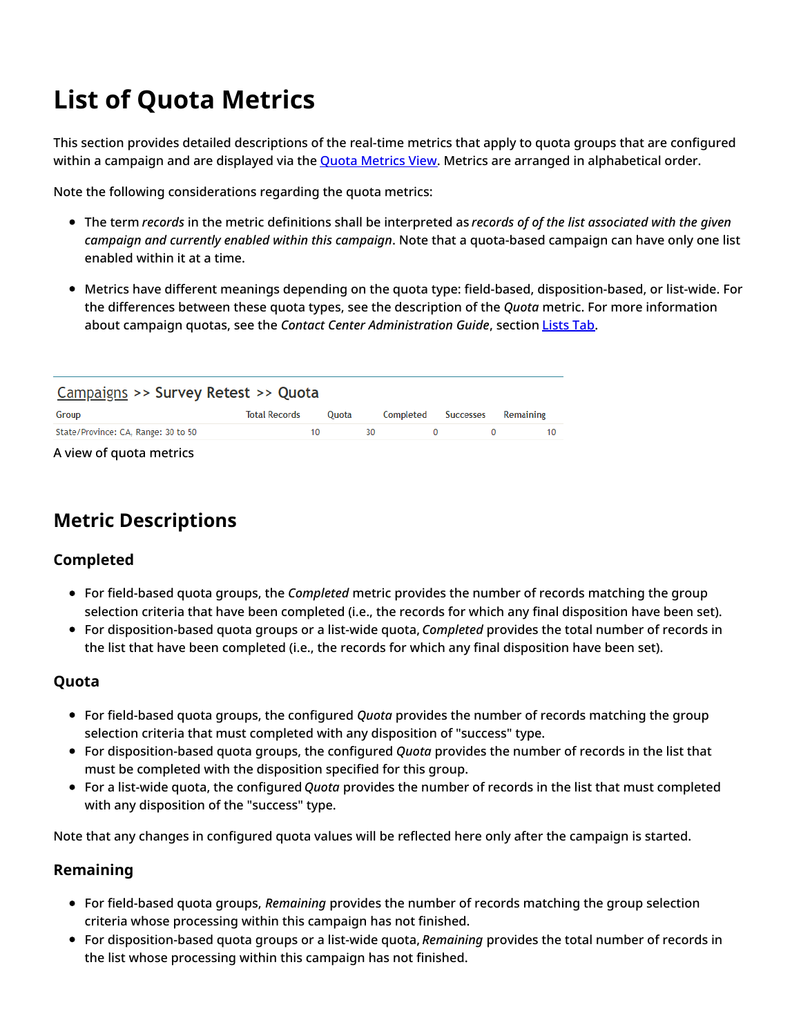# <span id="page-2-0"></span>**List of Quota Metrics**

This section provides detailed descriptions of the real-time metrics that apply to quota groups that are configured within a campaign and are displayed via the **Quota [Metrics](https://help.brightpattern.com/5.8:Supervisor-guide/QuotaMetricsView/?action=html-localimages-export#topic_supervisor-guide.2Fquotametricsview) View.** Metrics are arranged in alphabetical order.

Note the following considerations regarding the quota metrics:

- The term *records* in the metric definitions shall be interpreted as *records of of the list associated with the given campaign and currently enabled within this campaign*. Note that a quota-based campaign can have only one list enabled within it at a time.
- Metrics have different meanings depending on the quota type: field-based, disposition-based, or list-wide. For the differences between these quota types, see the description of the *Quota* metric. For more information about campaign quotas, see the *Contact Center Administration Guide*, section [Lists](https://help.brightpattern.com/5.8:Supervisor-guide/QuotaMetricsView/?action=html-localimages-export#topic_contact-center-administrator-guide.2Fliststab) Tab.

| Campaigns >> Survey Retest >> Quota |                      |              |    |                     |  |           |  |
|-------------------------------------|----------------------|--------------|----|---------------------|--|-----------|--|
| Group                               | <b>Total Records</b> | <b>Ouota</b> |    | Completed Successes |  | Remaining |  |
| State/Province: CA, Range: 30 to 50 |                      | 10           | 30 |                     |  |           |  |
|                                     |                      |              |    |                     |  |           |  |

A view of quota metrics

### <span id="page-2-1"></span>**Metric Descriptions**

#### <span id="page-2-2"></span>**Completed**

- For field-based quota groups, the *Completed* metric provides the number of records matching the group selection criteria that have been completed (i.e., the records for which any final disposition have been set).
- For disposition-based quota groups or a list-wide quota, *Completed* provides the total number of records in the list that have been completed (i.e., the records for which any final disposition have been set).

#### <span id="page-2-3"></span>**Quota**

- For field-based quota groups, the configured *Quota* provides the number of records matching the group selection criteria that must completed with any disposition of "success" type.
- For disposition-based quota groups, the configured *Quota* provides the number of records in the list that must be completed with the disposition specified for this group.
- For a list-wide quota, the configured *Quota* provides the number of records in the list that must completed with any disposition of the "success" type.

Note that any changes in configured quota values will be reflected here only after the campaign is started.

#### <span id="page-2-4"></span>**Remaining**

- For field-based quota groups, *Remaining* provides the number of records matching the group selection criteria whose processing within this campaign has not finished.
- For disposition-based quota groups or a list-wide quota, *Remaining* provides the total number of records in the list whose processing within this campaign has not finished.